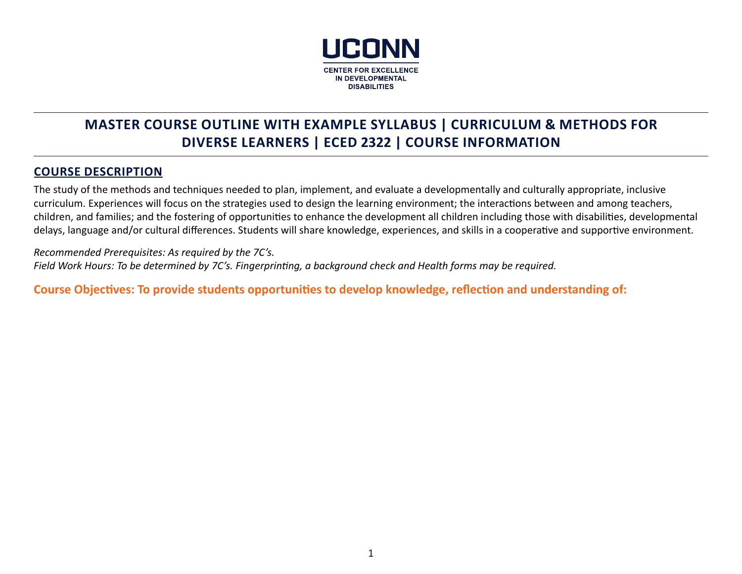

# **MASTER COURSE OUTLINE WITH EXAMPLE SYLLABUS | CURRICULUM & METHODS FOR DIVERSE LEARNERS | ECED 2322 | COURSE INFORMATION**

## **COURSE DESCRIPTION**

The study of the methods and techniques needed to plan, implement, and evaluate a developmentally and culturally appropriate, inclusive curriculum. Experiences will focus on the strategies used to design the learning environment; the interactions between and among teachers, children, and families; and the fostering of opportunities to enhance the development all children including those with disabilities, developmental delays, language and/or cultural differences. Students will share knowledge, experiences, and skills in a cooperative and supportive environment.

*Recommended Prerequisites: As required by the 7C's. Field Work Hours: To be determined by 7C's. Fingerprinting, a background check and Health forms may be required.*

**Course Objectives: To provide students opportunities to develop knowledge, reflection and understanding of:**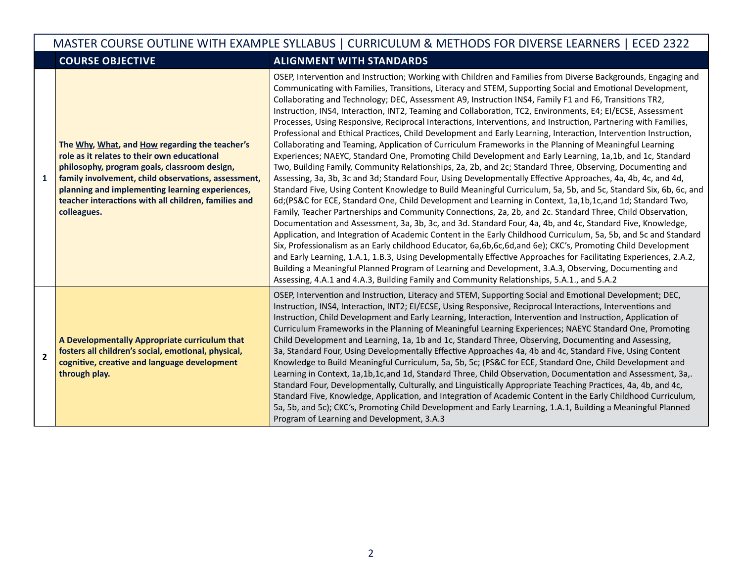# MASTER COURSE OUTLINE WITH EXAMPLE SYLLABUS | CURRICULUM & METHODS FOR DIVERSE LEARNERS | ECED 2322

## **COURSE OBJECTIVE ALIGNMENT WITH STANDARDS**

| $\mathbf{1}$   | The Why, What, and How regarding the teacher's<br>role as it relates to their own educational<br>philosophy, program goals, classroom design,<br>family involvement, child observations, assessment,<br>planning and implementing learning experiences,<br>teacher interactions with all children, families and<br>colleagues. | OSEP, Intervention and Instruction; Working with Children and Families from Diverse Backgrounds, Engaging and<br>Communicating with Families, Transitions, Literacy and STEM, Supporting Social and Emotional Development,<br>Collaborating and Technology; DEC, Assessment A9, Instruction INS4, Family F1 and F6, Transitions TR2,<br>Instruction, INS4, Interaction, INT2, Teaming and Collaboration, TC2, Environments, E4; EI/ECSE, Assessment<br>Processes, Using Responsive, Reciprocal Interactions, Interventions, and Instruction, Partnering with Families,<br>Professional and Ethical Practices, Child Development and Early Learning, Interaction, Intervention Instruction,<br>Collaborating and Teaming, Application of Curriculum Frameworks in the Planning of Meaningful Learning<br>Experiences; NAEYC, Standard One, Promoting Child Development and Early Learning, 1a,1b, and 1c, Standard<br>Two, Building Family, Community Relationships, 2a, 2b, and 2c; Standard Three, Observing, Documenting and<br>Assessing, 3a, 3b, 3c and 3d; Standard Four, Using Developmentally Effective Approaches, 4a, 4b, 4c, and 4d,<br>Standard Five, Using Content Knowledge to Build Meaningful Curriculum, 5a, 5b, and 5c, Standard Six, 6b, 6c, and<br>6d; (PS&C for ECE, Standard One, Child Development and Learning in Context, 1a,1b,1c, and 1d; Standard Two,<br>Family, Teacher Partnerships and Community Connections, 2a, 2b, and 2c. Standard Three, Child Observation,<br>Documentation and Assessment, 3a, 3b, 3c, and 3d. Standard Four, 4a, 4b, and 4c, Standard Five, Knowledge,<br>Application, and Integration of Academic Content in the Early Childhood Curriculum, 5a, 5b, and 5c and Standard<br>Six, Professionalism as an Early childhood Educator, 6a,6b,6c,6d,and 6e); CKC's, Promoting Child Development<br>and Early Learning, 1.A.1, 1.B.3, Using Developmentally Effective Approaches for Facilitating Experiences, 2.A.2,<br>Building a Meaningful Planned Program of Learning and Development, 3.A.3, Observing, Documenting and<br>Assessing, 4.A.1 and 4.A.3, Building Family and Community Relationships, 5.A.1., and 5.A.2 |
|----------------|--------------------------------------------------------------------------------------------------------------------------------------------------------------------------------------------------------------------------------------------------------------------------------------------------------------------------------|-----------------------------------------------------------------------------------------------------------------------------------------------------------------------------------------------------------------------------------------------------------------------------------------------------------------------------------------------------------------------------------------------------------------------------------------------------------------------------------------------------------------------------------------------------------------------------------------------------------------------------------------------------------------------------------------------------------------------------------------------------------------------------------------------------------------------------------------------------------------------------------------------------------------------------------------------------------------------------------------------------------------------------------------------------------------------------------------------------------------------------------------------------------------------------------------------------------------------------------------------------------------------------------------------------------------------------------------------------------------------------------------------------------------------------------------------------------------------------------------------------------------------------------------------------------------------------------------------------------------------------------------------------------------------------------------------------------------------------------------------------------------------------------------------------------------------------------------------------------------------------------------------------------------------------------------------------------------------------------------------------------------------------------------------------------------------------------------------------------------------------------------------------------------------------|
| $\overline{2}$ | A Developmentally Appropriate curriculum that<br>fosters all children's social, emotional, physical,<br>cognitive, creative and language development<br>through play.                                                                                                                                                          | OSEP, Intervention and Instruction, Literacy and STEM, Supporting Social and Emotional Development; DEC,<br>Instruction, INS4, Interaction, INT2; EI/ECSE, Using Responsive, Reciprocal Interactions, Interventions and<br>Instruction, Child Development and Early Learning, Interaction, Intervention and Instruction, Application of<br>Curriculum Frameworks in the Planning of Meaningful Learning Experiences; NAEYC Standard One, Promoting<br>Child Development and Learning, 1a, 1b and 1c, Standard Three, Observing, Documenting and Assessing,<br>3a, Standard Four, Using Developmentally Effective Approaches 4a, 4b and 4c, Standard Five, Using Content<br>Knowledge to Build Meaningful Curriculum, 5a, 5b, 5c; (PS&C for ECE, Standard One, Child Development and<br>Learning in Context, 1a,1b,1c,and 1d, Standard Three, Child Observation, Documentation and Assessment, 3a,.<br>Standard Four, Developmentally, Culturally, and Linguistically Appropriate Teaching Practices, 4a, 4b, and 4c,<br>Standard Five, Knowledge, Application, and Integration of Academic Content in the Early Childhood Curriculum,<br>5a, 5b, and 5c); CKC's, Promoting Child Development and Early Learning, 1.A.1, Building a Meaningful Planned<br>Program of Learning and Development, 3.A.3                                                                                                                                                                                                                                                                                                                                                                                                                                                                                                                                                                                                                                                                                                                                                                                                                                                                         |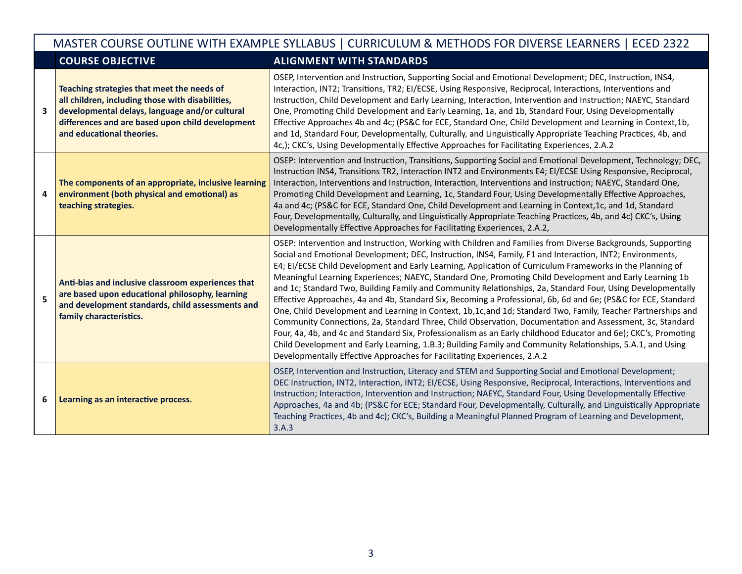|   | MASTER COURSE OUTLINE WITH EXAMPLE SYLLABUS   CURRICULUM & METHODS FOR DIVERSE LEARNERS   ECED 2322                                                                                                                               |                                                                                                                                                                                                                                                                                                                                                                                                                                                                                                                                                                                                                                                                                                                                                                                                                                                                                                                                                                                                                                                                                                                                                                                                                            |  |  |
|---|-----------------------------------------------------------------------------------------------------------------------------------------------------------------------------------------------------------------------------------|----------------------------------------------------------------------------------------------------------------------------------------------------------------------------------------------------------------------------------------------------------------------------------------------------------------------------------------------------------------------------------------------------------------------------------------------------------------------------------------------------------------------------------------------------------------------------------------------------------------------------------------------------------------------------------------------------------------------------------------------------------------------------------------------------------------------------------------------------------------------------------------------------------------------------------------------------------------------------------------------------------------------------------------------------------------------------------------------------------------------------------------------------------------------------------------------------------------------------|--|--|
|   | <b>COURSE OBJECTIVE</b><br><b>ALIGNMENT WITH STANDARDS</b>                                                                                                                                                                        |                                                                                                                                                                                                                                                                                                                                                                                                                                                                                                                                                                                                                                                                                                                                                                                                                                                                                                                                                                                                                                                                                                                                                                                                                            |  |  |
| 3 | Teaching strategies that meet the needs of<br>all children, including those with disabilities,<br>developmental delays, language and/or cultural<br>differences and are based upon child development<br>and educational theories. | OSEP, Intervention and Instruction, Supporting Social and Emotional Development; DEC, Instruction, INS4,<br>Interaction, INT2; Transitions, TR2; EI/ECSE, Using Responsive, Reciprocal, Interactions, Interventions and<br>Instruction, Child Development and Early Learning, Interaction, Intervention and Instruction; NAEYC, Standard<br>One, Promoting Child Development and Early Learning, 1a, and 1b, Standard Four, Using Developmentally<br>Effective Approaches 4b and 4c; (PS&C for ECE, Standard One, Child Development and Learning in Context, 1b,<br>and 1d, Standard Four, Developmentally, Culturally, and Linguistically Appropriate Teaching Practices, 4b, and<br>4c,); CKC's, Using Developmentally Effective Approaches for Facilitating Experiences, 2.A.2                                                                                                                                                                                                                                                                                                                                                                                                                                          |  |  |
| 4 | The components of an appropriate, inclusive learning<br>environment (both physical and emotional) as<br>teaching strategies.                                                                                                      | OSEP: Intervention and Instruction, Transitions, Supporting Social and Emotional Development, Technology; DEC,<br>Instruction INS4, Transitions TR2, Interaction INT2 and Environments E4; EI/ECSE Using Responsive, Reciprocal,<br>Interaction, Interventions and Instruction, Interaction, Interventions and Instruction; NAEYC, Standard One,<br>Promoting Child Development and Learning, 1c, Standard Four, Using Developmentally Effective Approaches,<br>4a and 4c; (PS&C for ECE, Standard One, Child Development and Learning in Context, 1c, and 1d, Standard<br>Four, Developmentally, Culturally, and Linguistically Appropriate Teaching Practices, 4b, and 4c) CKC's, Using<br>Developmentally Effective Approaches for Facilitating Experiences, 2.A.2,                                                                                                                                                                                                                                                                                                                                                                                                                                                     |  |  |
| 5 | Anti-bias and inclusive classroom experiences that<br>are based upon educational philosophy, learning<br>and development standards, child assessments and<br>family characteristics.                                              | OSEP: Intervention and Instruction, Working with Children and Families from Diverse Backgrounds, Supporting<br>Social and Emotional Development; DEC, Instruction, INS4, Family, F1 and Interaction, INT2; Environments,<br>E4; EI/ECSE Child Development and Early Learning, Application of Curriculum Frameworks in the Planning of<br>Meaningful Learning Experiences; NAEYC, Standard One, Promoting Child Development and Early Learning 1b<br>and 1c; Standard Two, Building Family and Community Relationships, 2a, Standard Four, Using Developmentally<br>Effective Approaches, 4a and 4b, Standard Six, Becoming a Professional, 6b, 6d and 6e; (PS&C for ECE, Standard<br>One, Child Development and Learning in Context, 1b,1c,and 1d; Standard Two, Family, Teacher Partnerships and<br>Community Connections, 2a, Standard Three, Child Observation, Documentation and Assessment, 3c, Standard<br>Four, 4a, 4b, and 4c and Standard Six, Professionalism as an Early childhood Educator and 6e); CKC's, Promoting<br>Child Development and Early Learning, 1.B.3; Building Family and Community Relationships, 5.A.1, and Using<br>Developmentally Effective Approaches for Facilitating Experiences, 2.A.2 |  |  |
| 6 | Learning as an interactive process.                                                                                                                                                                                               | OSEP, Intervention and Instruction, Literacy and STEM and Supporting Social and Emotional Development;<br>DEC Instruction, INT2, Interaction, INT2; EI/ECSE, Using Responsive, Reciprocal, Interactions, Interventions and<br>Instruction; Interaction, Intervention and Instruction; NAEYC, Standard Four, Using Developmentally Effective<br>Approaches, 4a and 4b; (PS&C for ECE; Standard Four, Developmentally, Culturally, and Linguistically Appropriate<br>Teaching Practices, 4b and 4c); CKC's, Building a Meaningful Planned Program of Learning and Development,<br>3.A.3                                                                                                                                                                                                                                                                                                                                                                                                                                                                                                                                                                                                                                      |  |  |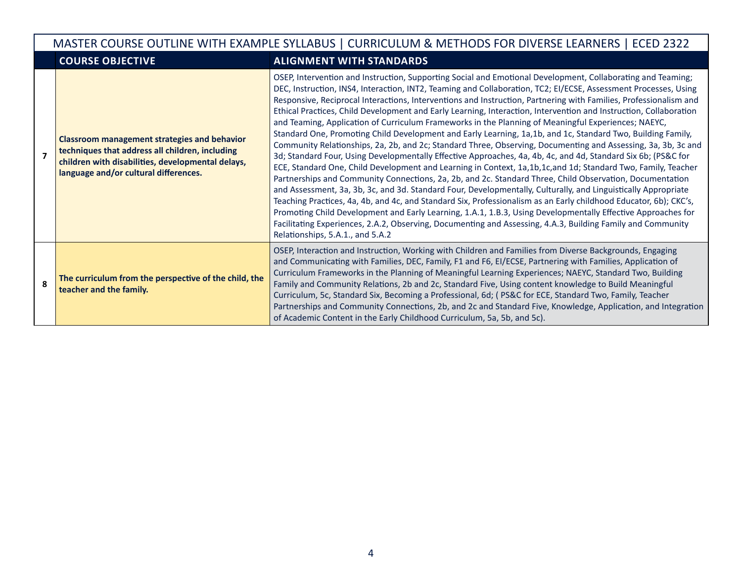|                | MASTER COURSE OUTLINE WITH EXAMPLE SYLLABUS   CURRICULUM & METHODS FOR DIVERSE LEARNERS   ECED 2322                                                                                                  |                                                                                                                                                                                                                                                                                                                                                                                                                                                                                                                                                                                                                                                                                                                                                                                                                                                                                                                                                                                                                                                                                                                                                                                                                                                                                                                                                                                                                                                                                                                                                                                                                                                                        |  |  |  |
|----------------|------------------------------------------------------------------------------------------------------------------------------------------------------------------------------------------------------|------------------------------------------------------------------------------------------------------------------------------------------------------------------------------------------------------------------------------------------------------------------------------------------------------------------------------------------------------------------------------------------------------------------------------------------------------------------------------------------------------------------------------------------------------------------------------------------------------------------------------------------------------------------------------------------------------------------------------------------------------------------------------------------------------------------------------------------------------------------------------------------------------------------------------------------------------------------------------------------------------------------------------------------------------------------------------------------------------------------------------------------------------------------------------------------------------------------------------------------------------------------------------------------------------------------------------------------------------------------------------------------------------------------------------------------------------------------------------------------------------------------------------------------------------------------------------------------------------------------------------------------------------------------------|--|--|--|
|                | <b>COURSE OBJECTIVE</b>                                                                                                                                                                              | <b>ALIGNMENT WITH STANDARDS</b>                                                                                                                                                                                                                                                                                                                                                                                                                                                                                                                                                                                                                                                                                                                                                                                                                                                                                                                                                                                                                                                                                                                                                                                                                                                                                                                                                                                                                                                                                                                                                                                                                                        |  |  |  |
| $\overline{z}$ | <b>Classroom management strategies and behavior</b><br>techniques that address all children, including<br>children with disabilities, developmental delays,<br>language and/or cultural differences. | OSEP, Intervention and Instruction, Supporting Social and Emotional Development, Collaborating and Teaming;<br>DEC, Instruction, INS4, Interaction, INT2, Teaming and Collaboration, TC2; EI/ECSE, Assessment Processes, Using<br>Responsive, Reciprocal Interactions, Interventions and Instruction, Partnering with Families, Professionalism and<br>Ethical Practices, Child Development and Early Learning, Interaction, Intervention and Instruction, Collaboration<br>and Teaming, Application of Curriculum Frameworks in the Planning of Meaningful Experiences; NAEYC,<br>Standard One, Promoting Child Development and Early Learning, 1a,1b, and 1c, Standard Two, Building Family,<br>Community Relationships, 2a, 2b, and 2c; Standard Three, Observing, Documenting and Assessing, 3a, 3b, 3c and<br>3d; Standard Four, Using Developmentally Effective Approaches, 4a, 4b, 4c, and 4d, Standard Six 6b; (PS&C for<br>ECE, Standard One, Child Development and Learning in Context, 1a,1b,1c,and 1d; Standard Two, Family, Teacher<br>Partnerships and Community Connections, 2a, 2b, and 2c. Standard Three, Child Observation, Documentation<br>and Assessment, 3a, 3b, 3c, and 3d. Standard Four, Developmentally, Culturally, and Linguistically Appropriate<br>Teaching Practices, 4a, 4b, and 4c, and Standard Six, Professionalism as an Early childhood Educator, 6b); CKC's,<br>Promoting Child Development and Early Learning, 1.A.1, 1.B.3, Using Developmentally Effective Approaches for<br>Facilitating Experiences, 2.A.2, Observing, Documenting and Assessing, 4.A.3, Building Family and Community<br>Relationships, 5.A.1., and 5.A.2 |  |  |  |
| 8              | The curriculum from the perspective of the child, the<br>teacher and the family.                                                                                                                     | OSEP, Interaction and Instruction, Working with Children and Families from Diverse Backgrounds, Engaging<br>and Communicating with Families, DEC, Family, F1 and F6, El/ECSE, Partnering with Families, Application of<br>Curriculum Frameworks in the Planning of Meaningful Learning Experiences; NAEYC, Standard Two, Building<br>Family and Community Relations, 2b and 2c, Standard Five, Using content knowledge to Build Meaningful<br>Curriculum, 5c, Standard Six, Becoming a Professional, 6d; (PS&C for ECE, Standard Two, Family, Teacher<br>Partnerships and Community Connections, 2b, and 2c and Standard Five, Knowledge, Application, and Integration<br>of Academic Content in the Early Childhood Curriculum, 5a, 5b, and 5c).                                                                                                                                                                                                                                                                                                                                                                                                                                                                                                                                                                                                                                                                                                                                                                                                                                                                                                                      |  |  |  |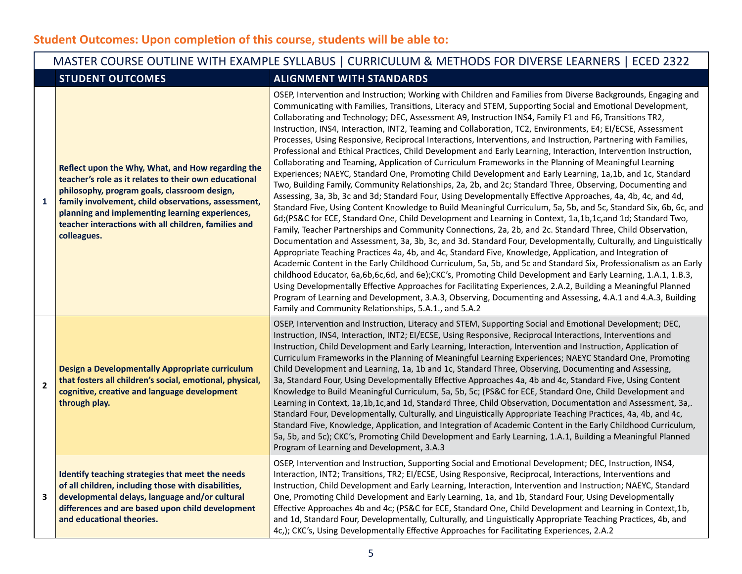|                                                                                                                                                                                                | MASTER COURSE OUTLINE WITH EXAMPLE SYLLABUS   CURRICULUM & METHODS FOR DIVERSE LEARNERS   ECED 2322                                                                                                                                                                                                                                         |                                                                                                                                                                                                                                                                                                                                                                                                                                                                                                                                                                                                                                                                                                                                                                                                                                                                                                                                                                                                                                                                                                                                                                                                                                                                                                                                                                                                                                                                                                                                                                                                                                                                                                                                                                                                                                                                                                                                                                                                                                                                                                                                                                                                                                                               |  |  |  |
|------------------------------------------------------------------------------------------------------------------------------------------------------------------------------------------------|---------------------------------------------------------------------------------------------------------------------------------------------------------------------------------------------------------------------------------------------------------------------------------------------------------------------------------------------|---------------------------------------------------------------------------------------------------------------------------------------------------------------------------------------------------------------------------------------------------------------------------------------------------------------------------------------------------------------------------------------------------------------------------------------------------------------------------------------------------------------------------------------------------------------------------------------------------------------------------------------------------------------------------------------------------------------------------------------------------------------------------------------------------------------------------------------------------------------------------------------------------------------------------------------------------------------------------------------------------------------------------------------------------------------------------------------------------------------------------------------------------------------------------------------------------------------------------------------------------------------------------------------------------------------------------------------------------------------------------------------------------------------------------------------------------------------------------------------------------------------------------------------------------------------------------------------------------------------------------------------------------------------------------------------------------------------------------------------------------------------------------------------------------------------------------------------------------------------------------------------------------------------------------------------------------------------------------------------------------------------------------------------------------------------------------------------------------------------------------------------------------------------------------------------------------------------------------------------------------------------|--|--|--|
|                                                                                                                                                                                                | <b>STUDENT OUTCOMES</b>                                                                                                                                                                                                                                                                                                                     | <b>ALIGNMENT WITH STANDARDS</b>                                                                                                                                                                                                                                                                                                                                                                                                                                                                                                                                                                                                                                                                                                                                                                                                                                                                                                                                                                                                                                                                                                                                                                                                                                                                                                                                                                                                                                                                                                                                                                                                                                                                                                                                                                                                                                                                                                                                                                                                                                                                                                                                                                                                                               |  |  |  |
| 1                                                                                                                                                                                              | Reflect upon the Why, What, and How regarding the<br>teacher's role as it relates to their own educational<br>philosophy, program goals, classroom design,<br>family involvement, child observations, assessment,<br>planning and implementing learning experiences,<br>teacher interactions with all children, families and<br>colleagues. | OSEP, Intervention and Instruction; Working with Children and Families from Diverse Backgrounds, Engaging and<br>Communicating with Families, Transitions, Literacy and STEM, Supporting Social and Emotional Development,<br>Collaborating and Technology; DEC, Assessment A9, Instruction INS4, Family F1 and F6, Transitions TR2,<br>Instruction, INS4, Interaction, INT2, Teaming and Collaboration, TC2, Environments, E4; EI/ECSE, Assessment<br>Processes, Using Responsive, Reciprocal Interactions, Interventions, and Instruction, Partnering with Families,<br>Professional and Ethical Practices, Child Development and Early Learning, Interaction, Intervention Instruction,<br>Collaborating and Teaming, Application of Curriculum Frameworks in the Planning of Meaningful Learning<br>Experiences; NAEYC, Standard One, Promoting Child Development and Early Learning, 1a,1b, and 1c, Standard<br>Two, Building Family, Community Relationships, 2a, 2b, and 2c; Standard Three, Observing, Documenting and<br>Assessing, 3a, 3b, 3c and 3d; Standard Four, Using Developmentally Effective Approaches, 4a, 4b, 4c, and 4d,<br>Standard Five, Using Content Knowledge to Build Meaningful Curriculum, 5a, 5b, and 5c, Standard Six, 6b, 6c, and<br>6d; (PS&C for ECE, Standard One, Child Development and Learning in Context, 1a,1b,1c, and 1d; Standard Two,<br>Family, Teacher Partnerships and Community Connections, 2a, 2b, and 2c. Standard Three, Child Observation,<br>Documentation and Assessment, 3a, 3b, 3c, and 3d. Standard Four, Developmentally, Culturally, and Linguistically<br>Appropriate Teaching Practices 4a, 4b, and 4c, Standard Five, Knowledge, Application, and Integration of<br>Academic Content in the Early Childhood Curriculum, 5a, 5b, and 5c and Standard Six, Professionalism as an Early<br>childhood Educator, 6a,6b,6c,6d, and 6e);CKC's, Promoting Child Development and Early Learning, 1.A.1, 1.B.3,<br>Using Developmentally Effective Approaches for Facilitating Experiences, 2.A.2, Building a Meaningful Planned<br>Program of Learning and Development, 3.A.3, Observing, Documenting and Assessing, 4.A.1 and 4.A.3, Building<br>Family and Community Relationships, 5.A.1., and 5.A.2 |  |  |  |
| Design a Developmentally Appropriate curriculum<br>that fosters all children's social, emotional, physical,<br>$\overline{2}$<br>cognitive, creative and language development<br>through play. |                                                                                                                                                                                                                                                                                                                                             | OSEP, Intervention and Instruction, Literacy and STEM, Supporting Social and Emotional Development; DEC,<br>Instruction, INS4, Interaction, INT2; EI/ECSE, Using Responsive, Reciprocal Interactions, Interventions and<br>Instruction, Child Development and Early Learning, Interaction, Intervention and Instruction, Application of<br>Curriculum Frameworks in the Planning of Meaningful Learning Experiences; NAEYC Standard One, Promoting<br>Child Development and Learning, 1a, 1b and 1c, Standard Three, Observing, Documenting and Assessing,<br>3a, Standard Four, Using Developmentally Effective Approaches 4a, 4b and 4c, Standard Five, Using Content<br>Knowledge to Build Meaningful Curriculum, 5a, 5b, 5c; (PS&C for ECE, Standard One, Child Development and<br>Learning in Context, 1a,1b,1c,and 1d, Standard Three, Child Observation, Documentation and Assessment, 3a,.<br>Standard Four, Developmentally, Culturally, and Linguistically Appropriate Teaching Practices, 4a, 4b, and 4c,<br>Standard Five, Knowledge, Application, and Integration of Academic Content in the Early Childhood Curriculum,<br>5a, 5b, and 5c); CKC's, Promoting Child Development and Early Learning, 1.A.1, Building a Meaningful Planned<br>Program of Learning and Development, 3.A.3                                                                                                                                                                                                                                                                                                                                                                                                                                                                                                                                                                                                                                                                                                                                                                                                                                                                                                                                                           |  |  |  |
| 3                                                                                                                                                                                              | Identify teaching strategies that meet the needs<br>of all children, including those with disabilities,<br>developmental delays, language and/or cultural<br>differences and are based upon child development<br>and educational theories.                                                                                                  | OSEP, Intervention and Instruction, Supporting Social and Emotional Development; DEC, Instruction, INS4,<br>Interaction, INT2; Transitions, TR2; EI/ECSE, Using Responsive, Reciprocal, Interactions, Interventions and<br>Instruction, Child Development and Early Learning, Interaction, Intervention and Instruction; NAEYC, Standard<br>One, Promoting Child Development and Early Learning, 1a, and 1b, Standard Four, Using Developmentally<br>Effective Approaches 4b and 4c; (PS&C for ECE, Standard One, Child Development and Learning in Context,1b,<br>and 1d, Standard Four, Developmentally, Culturally, and Linguistically Appropriate Teaching Practices, 4b, and<br>4c,); CKC's, Using Developmentally Effective Approaches for Facilitating Experiences, 2.A.2                                                                                                                                                                                                                                                                                                                                                                                                                                                                                                                                                                                                                                                                                                                                                                                                                                                                                                                                                                                                                                                                                                                                                                                                                                                                                                                                                                                                                                                                              |  |  |  |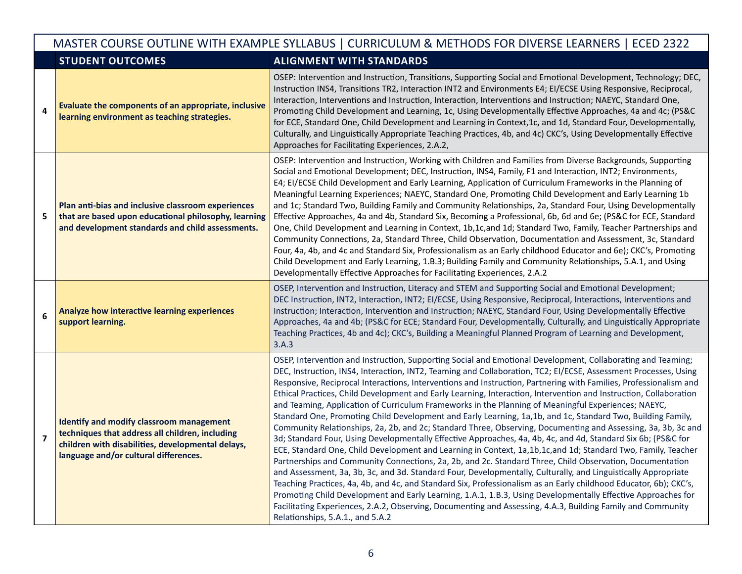|                         | MASTER COURSE OUTLINE WITH EXAMPLE SYLLABUS   CURRICULUM & METHODS FOR DIVERSE LEARNERS   ECED 2322                                                                                       |                                                                                                                                                                                                                                                                                                                                                                                                                                                                                                                                                                                                                                                                                                                                                                                                                                                                                                                                                                                                                                                                                                                                                                                                                                                                                                                                                                                                                                                                                                                                                                                                                                                                        |  |  |
|-------------------------|-------------------------------------------------------------------------------------------------------------------------------------------------------------------------------------------|------------------------------------------------------------------------------------------------------------------------------------------------------------------------------------------------------------------------------------------------------------------------------------------------------------------------------------------------------------------------------------------------------------------------------------------------------------------------------------------------------------------------------------------------------------------------------------------------------------------------------------------------------------------------------------------------------------------------------------------------------------------------------------------------------------------------------------------------------------------------------------------------------------------------------------------------------------------------------------------------------------------------------------------------------------------------------------------------------------------------------------------------------------------------------------------------------------------------------------------------------------------------------------------------------------------------------------------------------------------------------------------------------------------------------------------------------------------------------------------------------------------------------------------------------------------------------------------------------------------------------------------------------------------------|--|--|
|                         | <b>STUDENT OUTCOMES</b>                                                                                                                                                                   | <b>ALIGNMENT WITH STANDARDS</b>                                                                                                                                                                                                                                                                                                                                                                                                                                                                                                                                                                                                                                                                                                                                                                                                                                                                                                                                                                                                                                                                                                                                                                                                                                                                                                                                                                                                                                                                                                                                                                                                                                        |  |  |
| $\overline{\mathbf{4}}$ | Evaluate the components of an appropriate, inclusive<br>learning environment as teaching strategies.                                                                                      | OSEP: Intervention and Instruction, Transitions, Supporting Social and Emotional Development, Technology; DEC,<br>Instruction INS4, Transitions TR2, Interaction INT2 and Environments E4; EI/ECSE Using Responsive, Reciprocal,<br>Interaction, Interventions and Instruction, Interaction, Interventions and Instruction; NAEYC, Standard One,<br>Promoting Child Development and Learning, 1c, Using Developmentally Effective Approaches, 4a and 4c; (PS&C<br>for ECE, Standard One, Child Development and Learning in Context, 1c, and 1d, Standard Four, Developmentally,<br>Culturally, and Linguistically Appropriate Teaching Practices, 4b, and 4c) CKC's, Using Developmentally Effective<br>Approaches for Facilitating Experiences, 2.A.2,                                                                                                                                                                                                                                                                                                                                                                                                                                                                                                                                                                                                                                                                                                                                                                                                                                                                                                                |  |  |
| 5                       | Plan anti-bias and inclusive classroom experiences<br>that are based upon educational philosophy, learning<br>and development standards and child assessments.                            | OSEP: Intervention and Instruction, Working with Children and Families from Diverse Backgrounds, Supporting<br>Social and Emotional Development; DEC, Instruction, INS4, Family, F1 and Interaction, INT2; Environments,<br>E4; EI/ECSE Child Development and Early Learning, Application of Curriculum Frameworks in the Planning of<br>Meaningful Learning Experiences; NAEYC, Standard One, Promoting Child Development and Early Learning 1b<br>and 1c; Standard Two, Building Family and Community Relationships, 2a, Standard Four, Using Developmentally<br>Effective Approaches, 4a and 4b, Standard Six, Becoming a Professional, 6b, 6d and 6e; (PS&C for ECE, Standard<br>One, Child Development and Learning in Context, 1b,1c,and 1d; Standard Two, Family, Teacher Partnerships and<br>Community Connections, 2a, Standard Three, Child Observation, Documentation and Assessment, 3c, Standard<br>Four, 4a, 4b, and 4c and Standard Six, Professionalism as an Early childhood Educator and 6e); CKC's, Promoting<br>Child Development and Early Learning, 1.B.3; Building Family and Community Relationships, 5.A.1, and Using<br>Developmentally Effective Approaches for Facilitating Experiences, 2.A.2                                                                                                                                                                                                                                                                                                                                                                                                                                             |  |  |
| 6                       | Analyze how interactive learning experiences<br>support learning.                                                                                                                         | OSEP, Intervention and Instruction, Literacy and STEM and Supporting Social and Emotional Development;<br>DEC Instruction, INT2, Interaction, INT2; EI/ECSE, Using Responsive, Reciprocal, Interactions, Interventions and<br>Instruction; Interaction, Intervention and Instruction; NAEYC, Standard Four, Using Developmentally Effective<br>Approaches, 4a and 4b; (PS&C for ECE; Standard Four, Developmentally, Culturally, and Linguistically Appropriate<br>Teaching Practices, 4b and 4c); CKC's, Building a Meaningful Planned Program of Learning and Development,<br>3.A.3                                                                                                                                                                                                                                                                                                                                                                                                                                                                                                                                                                                                                                                                                                                                                                                                                                                                                                                                                                                                                                                                                  |  |  |
| $\overline{\mathbf{z}}$ | Identify and modify classroom management<br>techniques that address all children, including<br>children with disabilities, developmental delays,<br>language and/or cultural differences. | OSEP, Intervention and Instruction, Supporting Social and Emotional Development, Collaborating and Teaming;<br>DEC, Instruction, INS4, Interaction, INT2, Teaming and Collaboration, TC2; EI/ECSE, Assessment Processes, Using<br>Responsive, Reciprocal Interactions, Interventions and Instruction, Partnering with Families, Professionalism and<br>Ethical Practices, Child Development and Early Learning, Interaction, Intervention and Instruction, Collaboration<br>and Teaming, Application of Curriculum Frameworks in the Planning of Meaningful Experiences; NAEYC,<br>Standard One, Promoting Child Development and Early Learning, 1a,1b, and 1c, Standard Two, Building Family,<br>Community Relationships, 2a, 2b, and 2c; Standard Three, Observing, Documenting and Assessing, 3a, 3b, 3c and<br>3d; Standard Four, Using Developmentally Effective Approaches, 4a, 4b, 4c, and 4d, Standard Six 6b; (PS&C for<br>ECE, Standard One, Child Development and Learning in Context, 1a,1b,1c,and 1d; Standard Two, Family, Teacher<br>Partnerships and Community Connections, 2a, 2b, and 2c. Standard Three, Child Observation, Documentation<br>and Assessment, 3a, 3b, 3c, and 3d. Standard Four, Developmentally, Culturally, and Linguistically Appropriate<br>Teaching Practices, 4a, 4b, and 4c, and Standard Six, Professionalism as an Early childhood Educator, 6b); CKC's,<br>Promoting Child Development and Early Learning, 1.A.1, 1.B.3, Using Developmentally Effective Approaches for<br>Facilitating Experiences, 2.A.2, Observing, Documenting and Assessing, 4.A.3, Building Family and Community<br>Relationships, 5.A.1., and 5.A.2 |  |  |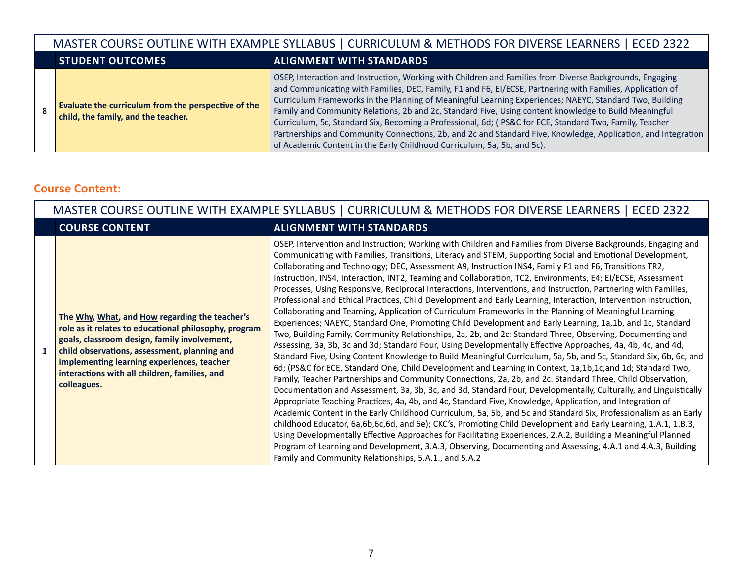|   | MASTER COURSE OUTLINE WITH EXAMPLE SYLLABUS   CURRICULUM & METHODS FOR DIVERSE LEARNERS   ECED 2322 |                                                                                                                                                                                                                                                                                                                                                                                                                                                                                                                                                                                                                                                                                                                                                   |  |  |  |
|---|-----------------------------------------------------------------------------------------------------|---------------------------------------------------------------------------------------------------------------------------------------------------------------------------------------------------------------------------------------------------------------------------------------------------------------------------------------------------------------------------------------------------------------------------------------------------------------------------------------------------------------------------------------------------------------------------------------------------------------------------------------------------------------------------------------------------------------------------------------------------|--|--|--|
|   | <b>STUDENT OUTCOMES</b>                                                                             | <b>ALIGNMENT WITH STANDARDS</b>                                                                                                                                                                                                                                                                                                                                                                                                                                                                                                                                                                                                                                                                                                                   |  |  |  |
| 8 | Evaluate the curriculum from the perspective of the<br>child, the family, and the teacher.          | OSEP, Interaction and Instruction, Working with Children and Families from Diverse Backgrounds, Engaging<br>and Communicating with Families, DEC, Family, F1 and F6, El/ECSE, Partnering with Families, Application of<br>Curriculum Frameworks in the Planning of Meaningful Learning Experiences; NAEYC, Standard Two, Building<br>Family and Community Relations, 2b and 2c, Standard Five, Using content knowledge to Build Meaningful<br>Curriculum, 5c, Standard Six, Becoming a Professional, 6d; (PS&C for ECE, Standard Two, Family, Teacher<br>Partnerships and Community Connections, 2b, and 2c and Standard Five, Knowledge, Application, and Integration<br>of Academic Content in the Early Childhood Curriculum, 5a, 5b, and 5c). |  |  |  |

### **Course Content:**

|   | MASTER COURSE OUTLINE WITH EXAMPLE SYLLABUS   CURRICULUM & METHODS FOR DIVERSE LEARNERS   ECED 2322                                                                                                                                                                                                                   |                                                                                                                                                                                                                                                                                                                                                                                                                                                                                                                                                                                                                                                                                                                                                                                                                                                                                                                                                                                                                                                                                                                                                                                                                                                                                                                                                                                                                                                                                                                                                                                                                                                                                                                                                                                                                                                                                                                                                                                                                                                                                                                                                                                                                                                                |  |  |
|---|-----------------------------------------------------------------------------------------------------------------------------------------------------------------------------------------------------------------------------------------------------------------------------------------------------------------------|----------------------------------------------------------------------------------------------------------------------------------------------------------------------------------------------------------------------------------------------------------------------------------------------------------------------------------------------------------------------------------------------------------------------------------------------------------------------------------------------------------------------------------------------------------------------------------------------------------------------------------------------------------------------------------------------------------------------------------------------------------------------------------------------------------------------------------------------------------------------------------------------------------------------------------------------------------------------------------------------------------------------------------------------------------------------------------------------------------------------------------------------------------------------------------------------------------------------------------------------------------------------------------------------------------------------------------------------------------------------------------------------------------------------------------------------------------------------------------------------------------------------------------------------------------------------------------------------------------------------------------------------------------------------------------------------------------------------------------------------------------------------------------------------------------------------------------------------------------------------------------------------------------------------------------------------------------------------------------------------------------------------------------------------------------------------------------------------------------------------------------------------------------------------------------------------------------------------------------------------------------------|--|--|
|   | <b>COURSE CONTENT</b>                                                                                                                                                                                                                                                                                                 | <b>ALIGNMENT WITH STANDARDS</b>                                                                                                                                                                                                                                                                                                                                                                                                                                                                                                                                                                                                                                                                                                                                                                                                                                                                                                                                                                                                                                                                                                                                                                                                                                                                                                                                                                                                                                                                                                                                                                                                                                                                                                                                                                                                                                                                                                                                                                                                                                                                                                                                                                                                                                |  |  |
| 1 | The Why, What, and How regarding the teacher's<br>role as it relates to educational philosophy, program<br>goals, classroom design, family involvement,<br>child observations, assessment, planning and<br>implementing learning experiences, teacher<br>interactions with all children, families, and<br>colleagues. | OSEP, Intervention and Instruction; Working with Children and Families from Diverse Backgrounds, Engaging and<br>Communicating with Families, Transitions, Literacy and STEM, Supporting Social and Emotional Development,<br>Collaborating and Technology; DEC, Assessment A9, Instruction INS4, Family F1 and F6, Transitions TR2,<br>Instruction, INS4, Interaction, INT2, Teaming and Collaboration, TC2, Environments, E4; EI/ECSE, Assessment<br>Processes, Using Responsive, Reciprocal Interactions, Interventions, and Instruction, Partnering with Families,<br>Professional and Ethical Practices, Child Development and Early Learning, Interaction, Intervention Instruction,<br>Collaborating and Teaming, Application of Curriculum Frameworks in the Planning of Meaningful Learning<br>Experiences; NAEYC, Standard One, Promoting Child Development and Early Learning, 1a,1b, and 1c, Standard<br>Two, Building Family, Community Relationships, 2a, 2b, and 2c; Standard Three, Observing, Documenting and<br>Assessing, 3a, 3b, 3c and 3d; Standard Four, Using Developmentally Effective Approaches, 4a, 4b, 4c, and 4d,<br>Standard Five, Using Content Knowledge to Build Meaningful Curriculum, 5a, 5b, and 5c, Standard Six, 6b, 6c, and<br>6d; (PS&C for ECE, Standard One, Child Development and Learning in Context, 1a,1b,1c,and 1d; Standard Two,<br>Family, Teacher Partnerships and Community Connections, 2a, 2b, and 2c. Standard Three, Child Observation,<br>Documentation and Assessment, 3a, 3b, 3c, and 3d, Standard Four, Developmentally, Culturally, and Linguistically<br>Appropriate Teaching Practices, 4a, 4b, and 4c, Standard Five, Knowledge, Application, and Integration of<br>Academic Content in the Early Childhood Curriculum, 5a, 5b, and 5c and Standard Six, Professionalism as an Early<br>childhood Educator, 6a,6b,6c,6d, and 6e); CKC's, Promoting Child Development and Early Learning, 1.A.1, 1.B.3,<br>Using Developmentally Effective Approaches for Facilitating Experiences, 2.A.2, Building a Meaningful Planned<br>Program of Learning and Development, 3.A.3, Observing, Documenting and Assessing, 4.A.1 and 4.A.3, Building<br>Family and Community Relationships, 5.A.1., and 5.A.2 |  |  |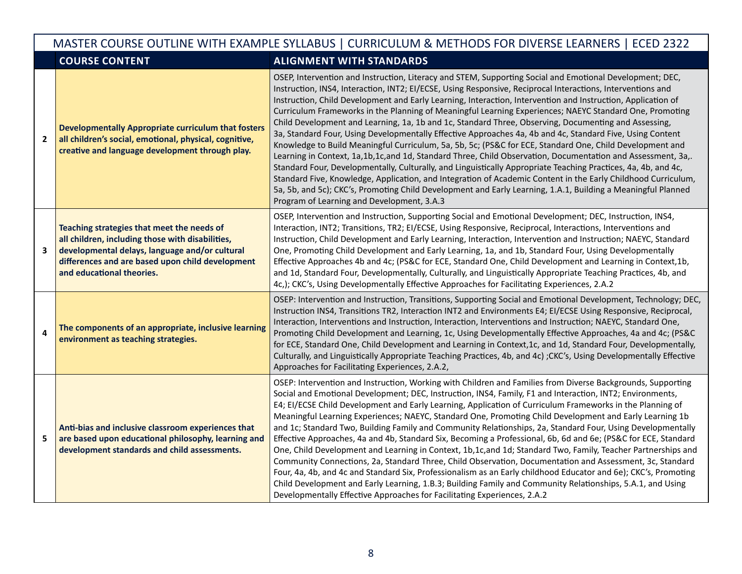|                | MASTER COURSE OUTLINE WITH EXAMPLE SYLLABUS   CURRICULUM & METHODS FOR DIVERSE LEARNERS   ECED 2322                                                                                                                               |                                                                                                                                                                                                                                                                                                                                                                                                                                                                                                                                                                                                                                                                                                                                                                                                                                                                                                                                                                                                                                                                                                                                                                                                                                                                                                     |  |  |  |
|----------------|-----------------------------------------------------------------------------------------------------------------------------------------------------------------------------------------------------------------------------------|-----------------------------------------------------------------------------------------------------------------------------------------------------------------------------------------------------------------------------------------------------------------------------------------------------------------------------------------------------------------------------------------------------------------------------------------------------------------------------------------------------------------------------------------------------------------------------------------------------------------------------------------------------------------------------------------------------------------------------------------------------------------------------------------------------------------------------------------------------------------------------------------------------------------------------------------------------------------------------------------------------------------------------------------------------------------------------------------------------------------------------------------------------------------------------------------------------------------------------------------------------------------------------------------------------|--|--|--|
|                | <b>COURSE CONTENT</b>                                                                                                                                                                                                             | <b>ALIGNMENT WITH STANDARDS</b>                                                                                                                                                                                                                                                                                                                                                                                                                                                                                                                                                                                                                                                                                                                                                                                                                                                                                                                                                                                                                                                                                                                                                                                                                                                                     |  |  |  |
| $\overline{2}$ | <b>Developmentally Appropriate curriculum that fosters</b><br>all children's social, emotional, physical, cognitive,<br>creative and language development through play.                                                           | OSEP, Intervention and Instruction, Literacy and STEM, Supporting Social and Emotional Development; DEC,<br>Instruction, INS4, Interaction, INT2; EI/ECSE, Using Responsive, Reciprocal Interactions, Interventions and<br>Instruction, Child Development and Early Learning, Interaction, Intervention and Instruction, Application of<br>Curriculum Frameworks in the Planning of Meaningful Learning Experiences; NAEYC Standard One, Promoting<br>Child Development and Learning, 1a, 1b and 1c, Standard Three, Observing, Documenting and Assessing,<br>3a, Standard Four, Using Developmentally Effective Approaches 4a, 4b and 4c, Standard Five, Using Content<br>Knowledge to Build Meaningful Curriculum, 5a, 5b, 5c; (PS&C for ECE, Standard One, Child Development and<br>Learning in Context, 1a,1b,1c,and 1d, Standard Three, Child Observation, Documentation and Assessment, 3a,.<br>Standard Four, Developmentally, Culturally, and Linguistically Appropriate Teaching Practices, 4a, 4b, and 4c,<br>Standard Five, Knowledge, Application, and Integration of Academic Content in the Early Childhood Curriculum,<br>5a, 5b, and 5c); CKC's, Promoting Child Development and Early Learning, 1.A.1, Building a Meaningful Planned<br>Program of Learning and Development, 3.A.3 |  |  |  |
| 3              | Teaching strategies that meet the needs of<br>all children, including those with disabilities,<br>developmental delays, language and/or cultural<br>differences and are based upon child development<br>and educational theories. | OSEP, Intervention and Instruction, Supporting Social and Emotional Development; DEC, Instruction, INS4,<br>Interaction, INT2; Transitions, TR2; EI/ECSE, Using Responsive, Reciprocal, Interactions, Interventions and<br>Instruction, Child Development and Early Learning, Interaction, Intervention and Instruction; NAEYC, Standard<br>One, Promoting Child Development and Early Learning, 1a, and 1b, Standard Four, Using Developmentally<br>Effective Approaches 4b and 4c; (PS&C for ECE, Standard One, Child Development and Learning in Context, 1b,<br>and 1d, Standard Four, Developmentally, Culturally, and Linguistically Appropriate Teaching Practices, 4b, and<br>4c,); CKC's, Using Developmentally Effective Approaches for Facilitating Experiences, 2.A.2                                                                                                                                                                                                                                                                                                                                                                                                                                                                                                                   |  |  |  |
| 4              | The components of an appropriate, inclusive learning<br>environment as teaching strategies.                                                                                                                                       | OSEP: Intervention and Instruction, Transitions, Supporting Social and Emotional Development, Technology; DEC,<br>Instruction INS4, Transitions TR2, Interaction INT2 and Environments E4; EI/ECSE Using Responsive, Reciprocal,<br>Interaction, Interventions and Instruction, Interaction, Interventions and Instruction; NAEYC, Standard One,<br>Promoting Child Development and Learning, 1c, Using Developmentally Effective Approaches, 4a and 4c; (PS&C<br>for ECE, Standard One, Child Development and Learning in Context, 1c, and 1d, Standard Four, Developmentally,<br>Culturally, and Linguistically Appropriate Teaching Practices, 4b, and 4c); CKC's, Using Developmentally Effective<br>Approaches for Facilitating Experiences, 2.A.2,                                                                                                                                                                                                                                                                                                                                                                                                                                                                                                                                            |  |  |  |
| 5              | Anti-bias and inclusive classroom experiences that<br>are based upon educational philosophy, learning and<br>development standards and child assessments.                                                                         | OSEP: Intervention and Instruction, Working with Children and Families from Diverse Backgrounds, Supporting<br>Social and Emotional Development; DEC, Instruction, INS4, Family, F1 and Interaction, INT2; Environments,<br>E4; EI/ECSE Child Development and Early Learning, Application of Curriculum Frameworks in the Planning of<br>Meaningful Learning Experiences; NAEYC, Standard One, Promoting Child Development and Early Learning 1b<br>and 1c; Standard Two, Building Family and Community Relationships, 2a, Standard Four, Using Developmentally<br>Effective Approaches, 4a and 4b, Standard Six, Becoming a Professional, 6b, 6d and 6e; (PS&C for ECE, Standard<br>One, Child Development and Learning in Context, 1b,1c,and 1d; Standard Two, Family, Teacher Partnerships and<br>Community Connections, 2a, Standard Three, Child Observation, Documentation and Assessment, 3c, Standard<br>Four, 4a, 4b, and 4c and Standard Six, Professionalism as an Early childhood Educator and 6e); CKC's, Promoting<br>Child Development and Early Learning, 1.B.3; Building Family and Community Relationships, 5.A.1, and Using<br>Developmentally Effective Approaches for Facilitating Experiences, 2.A.2                                                                          |  |  |  |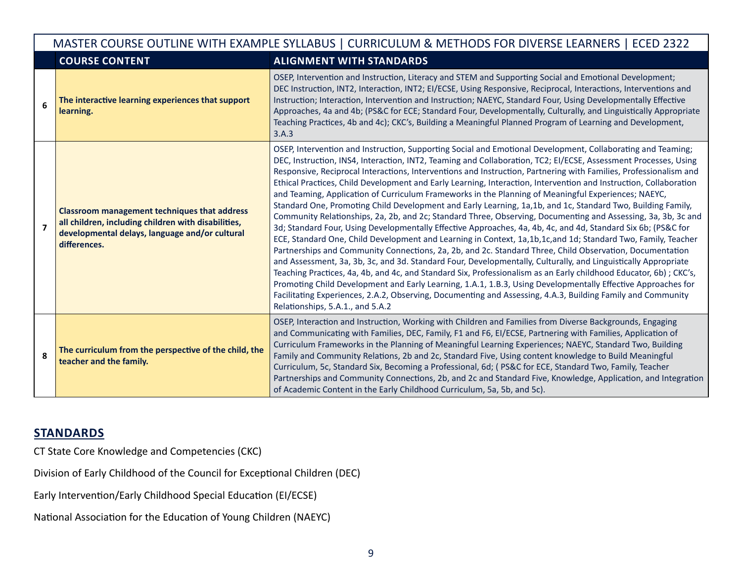|   | MASTER COURSE OUTLINE WITH EXAMPLE SYLLABUS   CURRICULUM & METHODS FOR DIVERSE LEARNERS   ECED 2322                                                                          |                                                                                                                                                                                                                                                                                                                                                                                                                                                                                                                                                                                                                                                                                                                                                                                                                                                                                                                                                                                                                                                                                                                                                                                                                                                                                                                                                                                                                                                                                                                                                                                                                                                                        |  |  |
|---|------------------------------------------------------------------------------------------------------------------------------------------------------------------------------|------------------------------------------------------------------------------------------------------------------------------------------------------------------------------------------------------------------------------------------------------------------------------------------------------------------------------------------------------------------------------------------------------------------------------------------------------------------------------------------------------------------------------------------------------------------------------------------------------------------------------------------------------------------------------------------------------------------------------------------------------------------------------------------------------------------------------------------------------------------------------------------------------------------------------------------------------------------------------------------------------------------------------------------------------------------------------------------------------------------------------------------------------------------------------------------------------------------------------------------------------------------------------------------------------------------------------------------------------------------------------------------------------------------------------------------------------------------------------------------------------------------------------------------------------------------------------------------------------------------------------------------------------------------------|--|--|
|   | <b>COURSE CONTENT</b>                                                                                                                                                        | <b>ALIGNMENT WITH STANDARDS</b>                                                                                                                                                                                                                                                                                                                                                                                                                                                                                                                                                                                                                                                                                                                                                                                                                                                                                                                                                                                                                                                                                                                                                                                                                                                                                                                                                                                                                                                                                                                                                                                                                                        |  |  |
| 6 | The interactive learning experiences that support<br>learning.                                                                                                               | OSEP, Intervention and Instruction, Literacy and STEM and Supporting Social and Emotional Development;<br>DEC Instruction, INT2, Interaction, INT2; EI/ECSE, Using Responsive, Reciprocal, Interactions, Interventions and<br>Instruction; Interaction, Intervention and Instruction; NAEYC, Standard Four, Using Developmentally Effective<br>Approaches, 4a and 4b; (PS&C for ECE; Standard Four, Developmentally, Culturally, and Linguistically Appropriate<br>Teaching Practices, 4b and 4c); CKC's, Building a Meaningful Planned Program of Learning and Development,<br>3.A.3                                                                                                                                                                                                                                                                                                                                                                                                                                                                                                                                                                                                                                                                                                                                                                                                                                                                                                                                                                                                                                                                                  |  |  |
| 7 | <b>Classroom management techniques that address</b><br>all children, including children with disabilities,<br>developmental delays, language and/or cultural<br>differences. | OSEP, Intervention and Instruction, Supporting Social and Emotional Development, Collaborating and Teaming;<br>DEC, Instruction, INS4, Interaction, INT2, Teaming and Collaboration, TC2; EI/ECSE, Assessment Processes, Using<br>Responsive, Reciprocal Interactions, Interventions and Instruction, Partnering with Families, Professionalism and<br>Ethical Practices, Child Development and Early Learning, Interaction, Intervention and Instruction, Collaboration<br>and Teaming, Application of Curriculum Frameworks in the Planning of Meaningful Experiences; NAEYC,<br>Standard One, Promoting Child Development and Early Learning, 1a,1b, and 1c, Standard Two, Building Family,<br>Community Relationships, 2a, 2b, and 2c; Standard Three, Observing, Documenting and Assessing, 3a, 3b, 3c and<br>3d; Standard Four, Using Developmentally Effective Approaches, 4a, 4b, 4c, and 4d, Standard Six 6b; (PS&C for<br>ECE, Standard One, Child Development and Learning in Context, 1a,1b,1c,and 1d; Standard Two, Family, Teacher<br>Partnerships and Community Connections, 2a, 2b, and 2c. Standard Three, Child Observation, Documentation<br>and Assessment, 3a, 3b, 3c, and 3d. Standard Four, Developmentally, Culturally, and Linguistically Appropriate<br>Teaching Practices, 4a, 4b, and 4c, and Standard Six, Professionalism as an Early childhood Educator, 6b); CKC's,<br>Promoting Child Development and Early Learning, 1.A.1, 1.B.3, Using Developmentally Effective Approaches for<br>Facilitating Experiences, 2.A.2, Observing, Documenting and Assessing, 4.A.3, Building Family and Community<br>Relationships, 5.A.1., and 5.A.2 |  |  |
| 8 | The curriculum from the perspective of the child, the<br>teacher and the family.                                                                                             | OSEP, Interaction and Instruction, Working with Children and Families from Diverse Backgrounds, Engaging<br>and Communicating with Families, DEC, Family, F1 and F6, El/ECSE, Partnering with Families, Application of<br>Curriculum Frameworks in the Planning of Meaningful Learning Experiences; NAEYC, Standard Two, Building<br>Family and Community Relations, 2b and 2c, Standard Five, Using content knowledge to Build Meaningful<br>Curriculum, 5c, Standard Six, Becoming a Professional, 6d; (PS&C for ECE, Standard Two, Family, Teacher<br>Partnerships and Community Connections, 2b, and 2c and Standard Five, Knowledge, Application, and Integration<br>of Academic Content in the Early Childhood Curriculum, 5a, 5b, and 5c).                                                                                                                                                                                                                                                                                                                                                                                                                                                                                                                                                                                                                                                                                                                                                                                                                                                                                                                      |  |  |

# **STANDARDS**

CT State Core Knowledge and Competencies (CKC)

Division of Early Childhood of the Council for Exceptional Children (DEC)

Early Intervention/Early Childhood Special Education (EI/ECSE)

National Association for the Education of Young Children (NAEYC)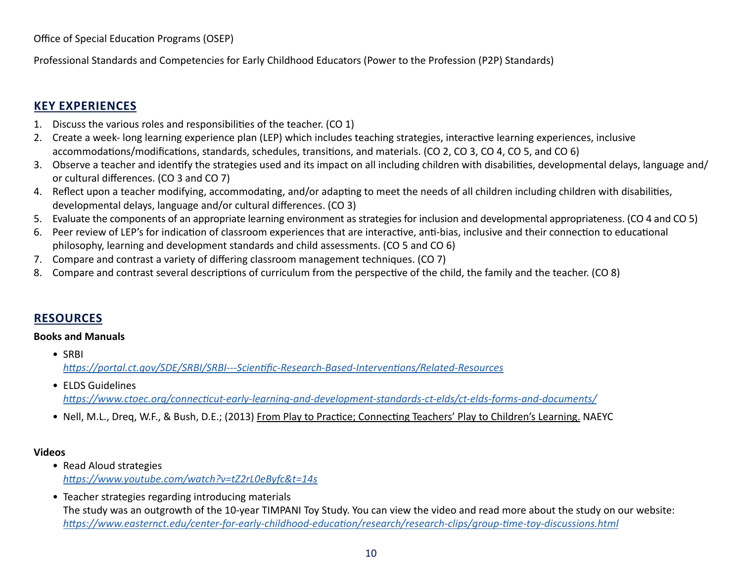Professional Standards and Competencies for Early Childhood Educators (Power to the Profession (P2P) Standards)

# **KEY EXPERIENCES**

- 1. Discuss the various roles and responsibilities of the teacher. (CO 1)
- 2. Create a week- long learning experience plan (LEP) which includes teaching strategies, interactive learning experiences, inclusive accommodations/modifications, standards, schedules, transitions, and materials. (CO 2, CO 3, CO 4, CO 5, and CO 6)
- 3. Observe a teacher and identify the strategies used and its impact on all including children with disabilities, developmental delays, language and/ or cultural differences. (CO 3 and CO 7)
- 4. Reflect upon a teacher modifying, accommodating, and/or adapting to meet the needs of all children including children with disabilities, developmental delays, language and/or cultural differences. (CO 3)
- 5. Evaluate the components of an appropriate learning environment as strategies for inclusion and developmental appropriateness. (CO 4 and CO 5)
- 6. Peer review of LEP's for indication of classroom experiences that are interactive, anti-bias, inclusive and their connection to educational philosophy, learning and development standards and child assessments. (CO 5 and CO 6)
- 7. Compare and contrast a variety of differing classroom management techniques. (CO 7)
- 8. Compare and contrast several descriptions of curriculum from the perspective of the child, the family and the teacher. (CO 8)

# **RESOURCES**

#### **Books and Manuals**

- SRBI *<https://portal.ct.gov/SDE/SRBI/SRBI---Scientific-Research-Based-Interventions/Related-Resources>*
- ELDS Guidelines *[https://www.ctoec.org/connecticut-early-learning-and-development-standards-ct-elds/ct-elds-forms-and-documents/](https://www.ctoec.org/supporting-child-development/ct-elds/documents/)*
- Nell, M.L., Dreq, W.F., & Bush, D.E.; (2013) From Play to Practice; Connecting Teachers' Play to Children's Learning. NAEYC

#### **Videos**

- Read Aloud strategies *<https://www.youtube.com/watch?v=tZ2rL0eByfc&t=14s>*
- Teacher strategies regarding introducing materials The study was an outgrowth of the 10-year TIMPANI Toy Study. You can view the video and read more about the study on our website: *<https://www.easternct.edu/center-for-early-childhood-education/research/research-clips/group-time-toy-discussions.html>*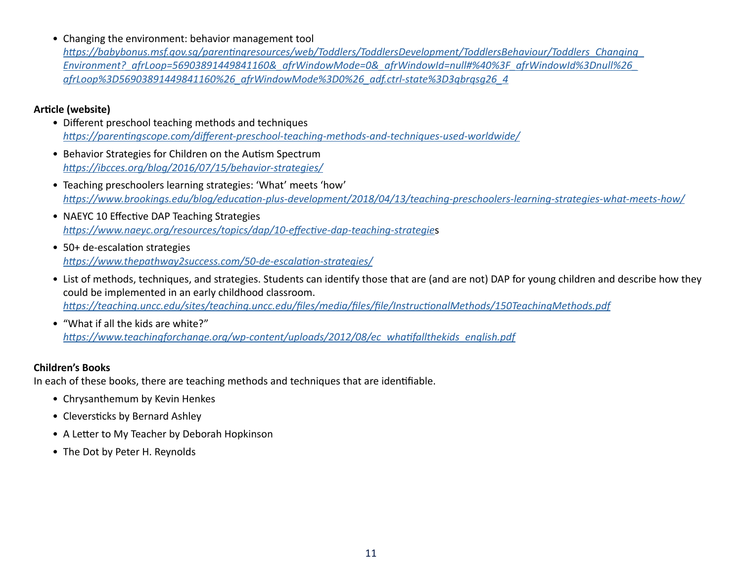• Changing the environment: behavior management tool

*[https://babybonus.msf.gov.sg/parentingresources/web/Toddlers/ToddlersDevelopment/ToddlersBehaviour/Toddlers\\_Changing\\_](https://familiesforlife.sg/Parenting/Pages/Home.aspx?_afrLoop=56903891449841160&_afrWindowMode=0&_afrWindowId=null#%40%3F_afrWindowId%3Dnull%26_afrLoop%3D56903891449841160%26_afrWindowMode%3D0%26_adf.ctrl-state%3D3qbrqsg26_4) [Environment?\\_afrLoop=56903891449841160&\\_afrWindowMode=0&\\_afrWindowId=null#%40%3F\\_afrWindowId%3Dnull%26\\_](https://familiesforlife.sg/Parenting/Pages/Home.aspx?_afrLoop=56903891449841160&_afrWindowMode=0&_afrWindowId=null#%40%3F_afrWindowId%3Dnull%26_afrLoop%3D56903891449841160%26_afrWindowMode%3D0%26_adf.ctrl-state%3D3qbrqsg26_4) [afrLoop%3D56903891449841160%26\\_afrWindowMode%3D0%26\\_adf.ctrl-state%3D3qbrqsg26\\_4](https://familiesforlife.sg/Parenting/Pages/Home.aspx?_afrLoop=56903891449841160&_afrWindowMode=0&_afrWindowId=null#%40%3F_afrWindowId%3Dnull%26_afrLoop%3D56903891449841160%26_afrWindowMode%3D0%26_adf.ctrl-state%3D3qbrqsg26_4)*

#### **Article (website)**

- Different preschool teaching methods and techniques *<https://parentingscope.com/different-preschool-teaching-methods-and-techniques-used-worldwide/>*
- Behavior Strategies for Children on the Autism Spectrum *<https://ibcces.org/blog/2016/07/15/behavior-strategies/>*
- Teaching preschoolers learning strategies: 'What' meets 'how' *<https://www.brookings.edu/blog/education-plus-development/2018/04/13/teaching-preschoolers-learning-strategies-what-meets-how/>*
- NAEYC 10 Effective DAP Teaching Strategies *[https://www.naeyc.org/resources/topics/dap/10-effective-dap-teaching-strategie](https://www.naeyc.org/resources/topics/dap/10-effective-dap-teaching-strategies)*s
- 50+ de-escalation strategies *<https://www.thepathway2success.com/50-de-escalation-strategies/>*
- List of methods, techniques, and strategies. Students can identify those that are (and are not) DAP for young children and describe how they could be implemented in an early childhood classroom. *[https://teaching.uncc.edu/sites/teaching.uncc.edu/files/media/files/file/InstructionalMethods/150TeachingMethods.pdf](https://teaching.charlotte.edu/sites/teaching.charlotte.edu/files/media/files/file/InstructionalMethods/150TeachingMethods.pdf)*
- "What if all the kids are white?" *[https://www.teachingforchange.org/wp-content/uploads/2012/08/ec\\_whatifallthekids\\_english.pdf](https://www.teachingforchange.org/wp-content/uploads/2012/08/ec_whatifallthekids_english.pdf)*

#### **Children's Books**

In each of these books, there are teaching methods and techniques that are identifiable.

- Chrysanthemum by Kevin Henkes
- Cleversticks by Bernard Ashley
- A Letter to My Teacher by Deborah Hopkinson
- The Dot by Peter H. Reynolds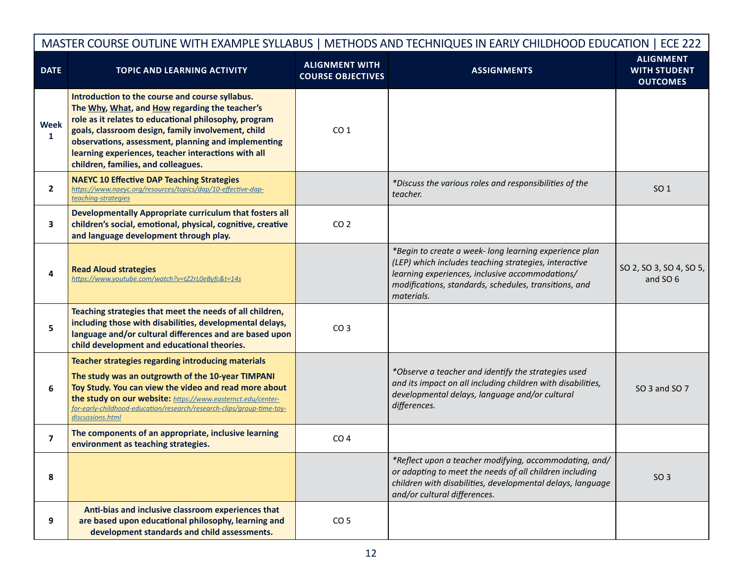| MASTER COURSE OUTLINE WITH EXAMPLE SYLLABUS   METHODS AND TECHNIQUES IN EARLY CHILDHOOD EDUCATION   ECE 222 |                                                                                                                                                                                                                                                                                                                                                                       |                                                   |                                                                                                                                                                                                                                           |                                                            |  |
|-------------------------------------------------------------------------------------------------------------|-----------------------------------------------------------------------------------------------------------------------------------------------------------------------------------------------------------------------------------------------------------------------------------------------------------------------------------------------------------------------|---------------------------------------------------|-------------------------------------------------------------------------------------------------------------------------------------------------------------------------------------------------------------------------------------------|------------------------------------------------------------|--|
| <b>DATE</b>                                                                                                 | <b>TOPIC AND LEARNING ACTIVITY</b>                                                                                                                                                                                                                                                                                                                                    | <b>ALIGNMENT WITH</b><br><b>COURSE OBJECTIVES</b> | <b>ASSIGNMENTS</b>                                                                                                                                                                                                                        | <b>ALIGNMENT</b><br><b>WITH STUDENT</b><br><b>OUTCOMES</b> |  |
| <b>Week</b><br>$\mathbf{1}$                                                                                 | Introduction to the course and course syllabus.<br>The Why, What, and How regarding the teacher's<br>role as it relates to educational philosophy, program<br>goals, classroom design, family involvement, child<br>observations, assessment, planning and implementing<br>learning experiences, teacher interactions with all<br>children, families, and colleagues. | CO <sub>1</sub>                                   |                                                                                                                                                                                                                                           |                                                            |  |
| $\mathbf{2}$                                                                                                | <b>NAEYC 10 Effective DAP Teaching Strategies</b><br>https://www.naeyc.org/resources/topics/dap/10-effective-dap-<br>teaching-strategies                                                                                                                                                                                                                              |                                                   | *Discuss the various roles and responsibilities of the<br>teacher.                                                                                                                                                                        | SO <sub>1</sub>                                            |  |
| 3                                                                                                           | Developmentally Appropriate curriculum that fosters all<br>children's social, emotional, physical, cognitive, creative<br>and language development through play.                                                                                                                                                                                                      | CO <sub>2</sub>                                   |                                                                                                                                                                                                                                           |                                                            |  |
|                                                                                                             | <b>Read Aloud strategies</b><br>https://www.youtube.com/watch?v=tZ2rL0eByfc&t=14s                                                                                                                                                                                                                                                                                     |                                                   | *Begin to create a week- long learning experience plan<br>(LEP) which includes teaching strategies, interactive<br>learning experiences, inclusive accommodations/<br>modifications, standards, schedules, transitions, and<br>materials. | SO 2, SO 3, SO 4, SO 5,<br>and SO 6                        |  |
| 5                                                                                                           | Teaching strategies that meet the needs of all children,<br>including those with disabilities, developmental delays,<br>language and/or cultural differences and are based upon<br>child development and educational theories.                                                                                                                                        | CO <sub>3</sub>                                   |                                                                                                                                                                                                                                           |                                                            |  |
| 6                                                                                                           | Teacher strategies regarding introducing materials<br>The study was an outgrowth of the 10-year TIMPANI<br>Toy Study. You can view the video and read more about<br>the study on our website: https://www.easternct.edu/center-<br>for-early-childhood-education/research/research-clips/group-time-toy-<br>discussions.html                                          |                                                   | *Observe a teacher and identify the strategies used<br>and its impact on all including children with disabilities,<br>developmental delays, language and/or cultural<br>differences.                                                      | SO 3 and SO 7                                              |  |
| $\overline{ }$                                                                                              | The components of an appropriate, inclusive learning<br>environment as teaching strategies.                                                                                                                                                                                                                                                                           | CO <sub>4</sub>                                   |                                                                                                                                                                                                                                           |                                                            |  |
| 8                                                                                                           |                                                                                                                                                                                                                                                                                                                                                                       |                                                   | *Reflect upon a teacher modifying, accommodating, and/<br>or adapting to meet the needs of all children including<br>children with disabilities, developmental delays, language<br>and/or cultural differences.                           | SO <sub>3</sub>                                            |  |
| 9                                                                                                           | Anti-bias and inclusive classroom experiences that<br>are based upon educational philosophy, learning and<br>development standards and child assessments.                                                                                                                                                                                                             | CO <sub>5</sub>                                   |                                                                                                                                                                                                                                           |                                                            |  |